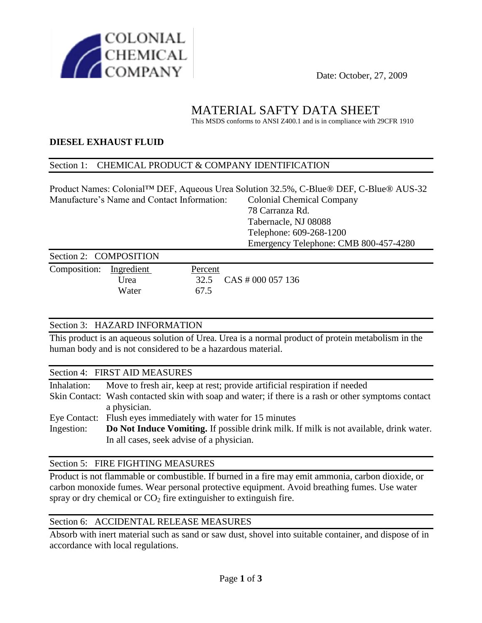

# MATERIAL SAFTY DATA SHEET

This MSDS conforms to ANSI Z400.1 and is in compliance with 29CFR 1910

### **DIESEL EXHAUST FLUID**

#### Section 1: CHEMICAL PRODUCT & COMPANY IDENTIFICATION

Product Names: Colonial™ DEF, Aqueous Urea Solution 32.5%, C-Blue® DEF, C-Blue® AUS-32 Manufacture's Name and Contact Information: Colonial Chemical Company 78 Carranza Rd. Tabernacle, NJ 08088 Telephone: 609-268-1200 Emergency Telephone: CMB 800-457-4280

#### Section 2: COMPOSITION Composition: Ingredient Percent

Urea 32.5 CAS # 000 057 136 Water 67.5

### Section 3: HAZARD INFORMATION

This product is an aqueous solution of Urea. Urea is a normal product of protein metabolism in the human body and is not considered to be a hazardous material.

#### Section 4: FIRST AID MEASURES

| Inhalation: | Move to fresh air, keep at rest; provide artificial respiration if needed                           |
|-------------|-----------------------------------------------------------------------------------------------------|
|             | Skin Contact: Wash contacted skin with soap and water; if there is a rash or other symptoms contact |
|             | a physician.                                                                                        |
|             | Eye Contact: Flush eyes immediately with water for 15 minutes                                       |
| Ingestion:  | Do Not Induce Vomiting. If possible drink milk. If milk is not available, drink water.              |
|             | In all cases, seek advise of a physician.                                                           |
|             |                                                                                                     |

#### Section 5: FIRE FIGHTING MEASURES

Product is not flammable or combustible. If burned in a fire may emit ammonia, carbon dioxide, or carbon monoxide fumes. Wear personal protective equipment. Avoid breathing fumes. Use water spray or dry chemical or  $CO<sub>2</sub>$  fire extinguisher to extinguish fire.

### Section 6: ACCIDENTAL RELEASE MEASURES

Absorb with inert material such as sand or saw dust, shovel into suitable container, and dispose of in accordance with local regulations.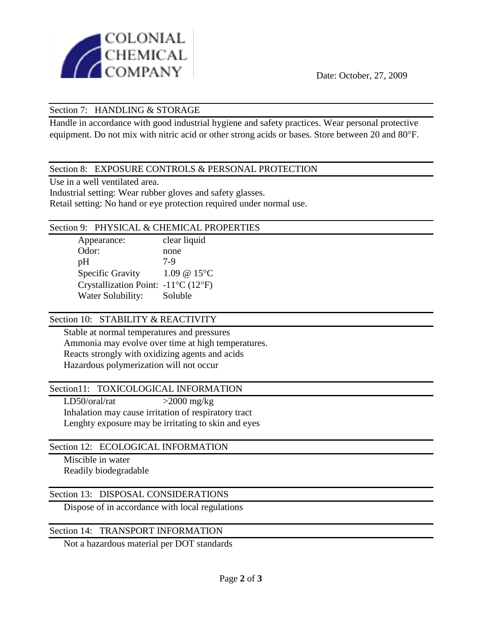

### Section 7: HANDLING & STORAGE

Handle in accordance with good industrial hygiene and safety practices. Wear personal protective equipment. Do not mix with nitric acid or other strong acids or bases. Store between 20 and 80°F.

### Section 8: EXPOSURE CONTROLS & PERSONAL PROTECTION

Use in a well ventilated area.

Industrial setting: Wear rubber gloves and safety glasses.

Retail setting: No hand or eye protection required under normal use.

#### Section 9: PHYSICAL & CHEMICAL PROPERTIES

Appearance: clear liquid Odor: none pH 7-9 Specific Gravity 1.09 @ 15°C Crystallization Point:  $-11^{\circ}C(12^{\circ}F)$ Water Solubility: Soluble

### Section 10: STABILITY & REACTIVITY

Stable at normal temperatures and pressures Ammonia may evolve over time at high temperatures. Reacts strongly with oxidizing agents and acids Hazardous polymerization will not occur

### Section11: TOXICOLOGICAL INFORMATION

 $LD50/oral/rat$  >2000 mg/kg Inhalation may cause irritation of respiratory tract Lenghty exposure may be irritating to skin and eyes

### Section 12: ECOLOGICAL INFORMATION

Miscible in water Readily biodegradable

### Section 13: DISPOSAL CONSIDERATIONS

Dispose of in accordance with local regulations

### Section 14: TRANSPORT INFORMATION

Not a hazardous material per DOT standards